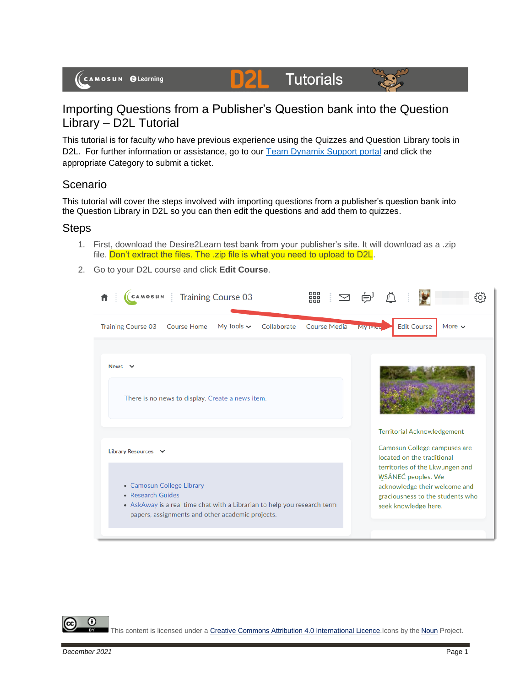

D)2

This tutorial is for faculty who have previous experience using the Quizzes and Question Library tools in D2L. For further information or assistance, go to our [Team Dynamix Support portal](https://camosun.teamdynamix.com/TDClient/67/Portal/Requests/ServiceCatalog?CategoryID=523) and click the appropriate Category to submit a ticket.

Tutorials

## Scenario

(CAMOSUN @Learning

This tutorial will cover the steps involved with importing questions from a publisher's question bank into the Question Library in D2L so you can then edit the questions and add them to quizzes.

## Steps

- 1. First, download the Desire2Learn test bank from your publisher's site. It will download as a .zip file. Don't extract the files. The .zip file is what you need to upload to D2L.
- 2. Go to your D2L course and click **Edit Course**.



This content is licensed under [a Creative Commons Attribution 4.0 International Licence.I](https://creativecommons.org/licenses/by/4.0/)cons by the [Noun](https://creativecommons.org/website-icons/) Project.

⋒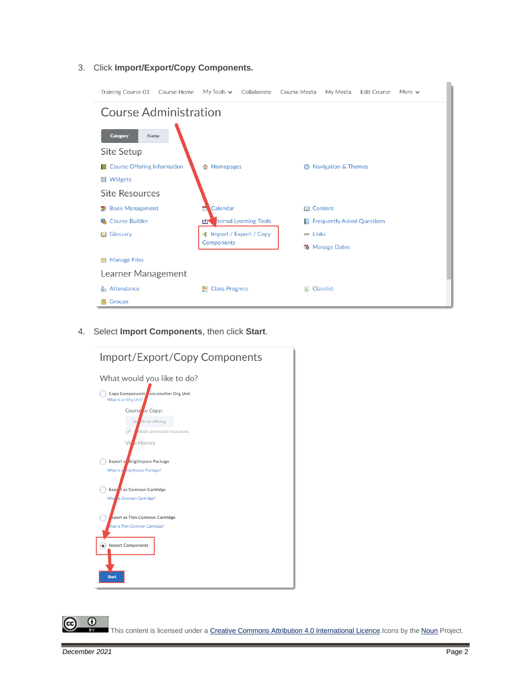3. Click **Import/Export/Copy Components.**

| Training Course 03 Course Home                                    | My Tools $\sim$<br>Collaborate  | Course Media<br>My Media<br><b>Edit Course</b><br>More $\sim$ |  |  |  |  |
|-------------------------------------------------------------------|---------------------------------|---------------------------------------------------------------|--|--|--|--|
| <b>Course Administration</b>                                      |                                 |                                                               |  |  |  |  |
| <b>Category</b><br>Name<br>Site Setup                             |                                 |                                                               |  |  |  |  |
| Course Offering Information<br><b>■ Widgets</b><br>Site Resources | 合 Homepages                     | <b>2</b> Navigation & Themes                                  |  |  |  |  |
| <b>图 Book Management</b>                                          | Calendar                        | <b>III</b> Content                                            |  |  |  |  |
| <b>Course Builder</b>                                             | ternal Learning Tools<br>г4т    | <b>Frequently Asked Questions</b><br>R.                       |  |  |  |  |
| <b>III</b> Glossary                                               | <b>‡</b> Import / Export / Copy | <b>BED</b> Links                                              |  |  |  |  |
|                                                                   | Components                      | <b>路</b> Manage Dates                                         |  |  |  |  |
| <b>Manage Files</b><br>Ħ                                          |                                 |                                                               |  |  |  |  |
| Learner Management                                                |                                 |                                                               |  |  |  |  |
| <b>Attendance</b>                                                 | <b>E</b> Class Progress         | $E$ Classlist                                                 |  |  |  |  |
| ₩<br>Groups                                                       |                                 |                                                               |  |  |  |  |

4. Select **Import Components**, then click **Start**.



This content is licensed under [a Creative Commons Attribution 4.0 International Licence.I](https://creativecommons.org/licenses/by/4.0/)cons by the [Noun](https://creativecommons.org/website-icons/) Project.

 $\odot$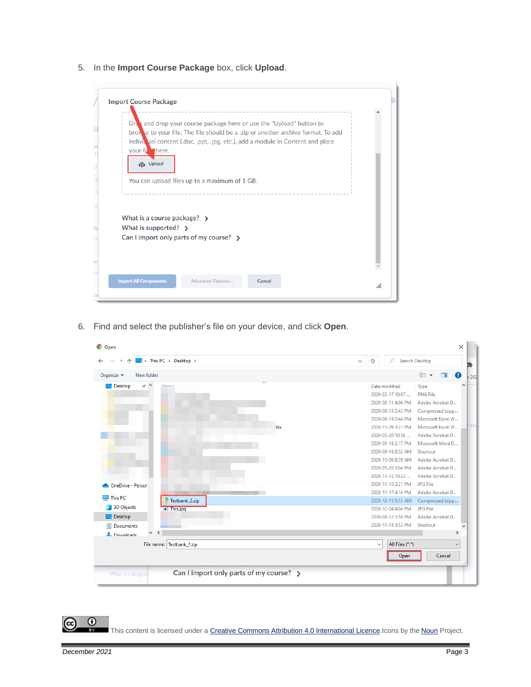5. In the **Import Course Package** box, click **Upload**.

|                                         | Dra and drop your course package here or use the "Upload" button to               |  |
|-----------------------------------------|-----------------------------------------------------------------------------------|--|
|                                         | brow se to your file. The file should be a .zip or another archive format. To add |  |
|                                         | indivitial content (.doc, .ppt, .jpg, etc.), add a module in Content and place    |  |
| your fib there.                         |                                                                                   |  |
| <b>Cp</b> Upload                        |                                                                                   |  |
|                                         |                                                                                   |  |
|                                         | You can upload files up to a maximum of 1 GB.                                     |  |
|                                         |                                                                                   |  |
|                                         |                                                                                   |  |
| What is a course package? $\rightarrow$ |                                                                                   |  |
|                                         |                                                                                   |  |
| What is supported? $\rightarrow$        |                                                                                   |  |
|                                         | Can I import only parts of my course? $\rightarrow$                               |  |
|                                         |                                                                                   |  |
|                                         |                                                                                   |  |
|                                         |                                                                                   |  |

6. Find and select the publisher's file on your device, and click **Open**.

| $\Box$ > This PC > Desktop >                                             | Search Desktop<br>Q<br>Ō<br>$\checkmark$        |
|--------------------------------------------------------------------------|-------------------------------------------------|
| Organize $\blacktriangleright$<br>New folder                             | 旧 ▼<br>2<br>$\Box$                              |
| $*$ ^<br>Desktop                                                         | Date modified<br>Type                           |
|                                                                          | <b>PNG File</b><br>2020-03-17 10:07             |
|                                                                          | 2020-08-11 4:06 PM<br>Adobe Acrobat D           |
|                                                                          | 2020-08-13 2:43 PM<br>Compressed (zipp          |
|                                                                          | 2020-06-19 2:44 PM<br>Microsoft Excel W         |
| :Isx                                                                     | 2020-11-09 3:31 PM<br>Microsoft Excel W         |
|                                                                          | 2020-05-20 10:56<br>Adobe Acrobat D             |
|                                                                          | 2020-09-18 2:17 PM<br>Microsoft Word D          |
|                                                                          | 2020-09-18 8:52 AM<br>Shortcut                  |
|                                                                          | 2020-11-06 8:59 AM<br>Adobe Acrobat D           |
|                                                                          | 2020-05-20 2:04 PM<br>Adobe Acrobat D           |
|                                                                          | 2020-11-12 10:23<br>Adobe Acrobat D             |
| <b>OneDrive - Person</b>                                                 | 2020-11-10 2:21 PM<br>JPG File                  |
|                                                                          | 2020-11-17 4:14 PM<br>Adobe Acrobat D           |
| This PC<br>Testbank 2.zip                                                | 2020-12-15 9:53 AM<br>Compressed (zipp          |
| 3D Objects<br><b>El This.jpg</b>                                         | 2020-12-04 4:04 PM<br><b>JPG File</b>           |
| $\Box$ Desktop                                                           | 2020-08-12 1:58 PM<br>Adobe Acrobat D           |
| 曽<br>Documents                                                           | 2020-11-18 3:53 PM<br>Shortcut                  |
| $\vee$ <<br><b>L</b> Downloads                                           | $\rightarrow$                                   |
| File name: Testbank_2.zip                                                | All Files (*.*)<br>$\checkmark$<br>$\checkmark$ |
|                                                                          | Cancel<br>Open                                  |
| Can I import only parts of my course? $\rightarrow$<br>What is a Brights |                                                 |

This content is licensed under [a Creative Commons Attribution 4.0 International Licence.I](https://creativecommons.org/licenses/by/4.0/)cons by the [Noun](https://creativecommons.org/website-icons/) Project.

 $\overline{0}$ 

(cc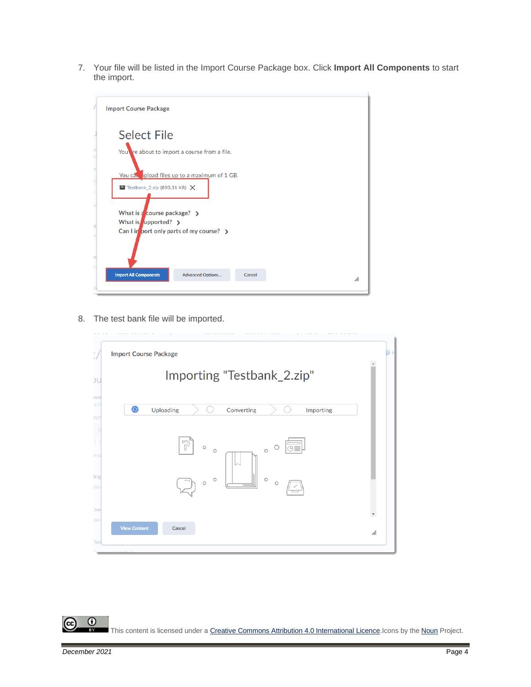7. Your file will be listed in the Import Course Package box. Click **Import All Components** to start the import.

| <b>Import Course Package</b>                                                                        |
|-----------------------------------------------------------------------------------------------------|
| <b>Select File</b>                                                                                  |
| You re about to import a course from a file.                                                        |
| You can upload files up to a maximum of 1 GB.<br>$\blacksquare$ Testbank_2.zip (890.31 KB) $\times$ |
| What is $\frac{1}{4}$ course package? $\rightarrow$<br>What is upported? $\rightarrow$              |
| Can I in port only parts of my course? $\rightarrow$                                                |
| <b>Import All Components</b><br><b>Advanced Options</b><br>Cancel<br>h.                             |

8. The test bank file will be imported.



 $\overline{0}$ (cc This content is licensed under [a Creative Commons Attribution 4.0 International Licence.I](https://creativecommons.org/licenses/by/4.0/)cons by the [Noun](https://creativecommons.org/website-icons/) Project.